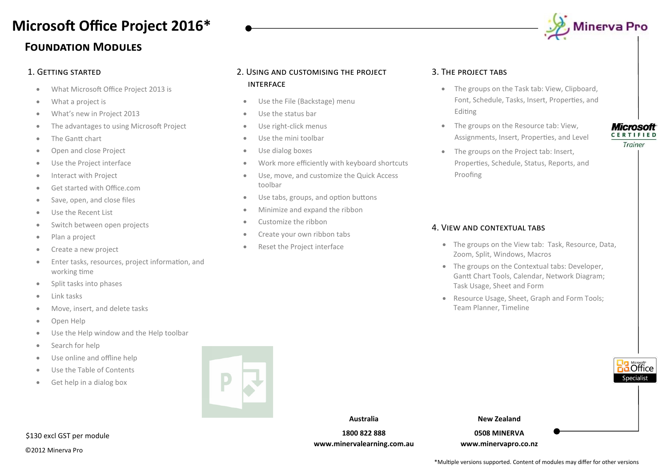## **Foundation Modules Microsoft Office Project 2016\***

- What Microsoft Office Project 2013 is
- What a project is
- What's new in Project 2013
- The advantages to using Microsoft Project
- The Gantt chart
- Open and close Project
- Use the Project interface
- **•** Interact with Project
- **Get started with Office com**
- Save, open, and close files
- Use the Recent List
- **•** Switch between open projects
- Plan a project
- Create a new project
- Enter tasks, resources, project information, and working time
- Split tasks into phases
- Link tasks
- Move, insert, and delete tasks
- Open Help
- Use the Help window and the Help toolbar
- Search for help
- Use online and offline help
- Use the Table of Contents
- Get help in a dialog box



### ©2012 Minerva Pro \$130 excl GST per module

### 1. Getting started 2. Using and customising the project interface

- Use the File (Backstage) menu
- Use the status bar
- Use right-click menus
- Use the mini toolbar
- Use dialog boxes
- Work more efficiently with keyboard shortcuts
- Use, move, and customize the Quick Access toolbar
- Use tabs, groups, and option buttons
- Minimize and expand the ribbon
- Customize the ribbon
- Create your own ribbon tabs
- Reset the Project interface

### 3. The project tabs

- The groups on the Task tab: View, Clipboard, Font, Schedule, Tasks, Insert, Properties, and Editing
- The groups on the Resource tab: View, Assignments, Insert, Properties, and Level
- The groups on the Project tab: Insert, Properties, Schedule, Status, Reports, and Proofing

### 4. View and contextual tabs

- The groups on the View tab: Task, Resource, Data, Zoom, Split, Windows, Macros
- The groups on the Contextual tabs: Developer, Gantt Chart Tools, Calendar, Network Diagram; Task Usage, Sheet and Form
- Resource Usage, Sheet, Graph and Form Tools; Team Planner, Timeline



**New Zealand**

**0508 MINERVA www.minervapro.co.nz**

### **Microsoft CERTIFIED** Trainer

**B** Office hecialist

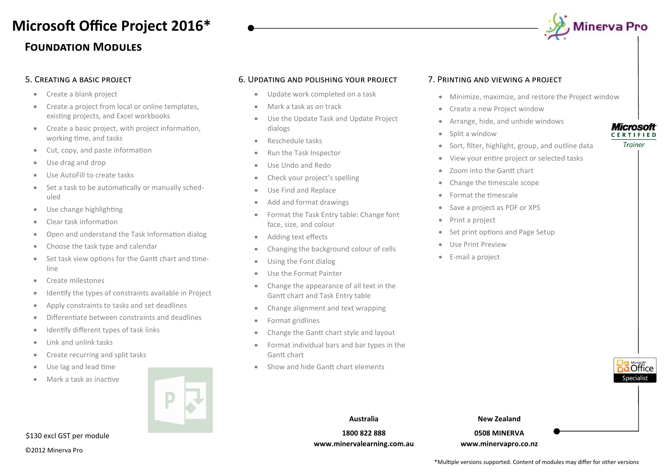## **Foundation Modules Microsoft Office Project 2016\***



- Create a blank project
- Create a project from local or online templates. existing projects, and Excel workbooks
- Create a basic project, with project information, working time, and tasks
- Cut, copy, and paste information
- Use drag and drop
- Use AutoFill to create tasks
- Set a task to be automatically or manually scheduled
- Use change highlighting
- Clear task information
- Open and understand the Task Information dialog
- Choose the task type and calendar
- Set task view options for the Gantt chart and timeline
- Create milestones
- Identify the types of constraints available in Project
- Apply constraints to tasks and set deadlines
- Differentiate between constraints and deadlines
- Identify different types of task links
- $\bullet$  Link and unlink tasks
- Create recurring and split tasks
- Use lag and lead time
- Mark a task as inactive

### 5. Creating a basic project 7. Printing and viewing a project 6. Updating and polishing your project

- Update work completed on a task
- Mark a task as on track
- Use the Update Task and Update Project dialogs
- **Reschedule tasks**
- Run the Task Inspector
- Use Undo and Redo
- Check your project's spelling
- Use Find and Replace
- Add and format drawings
- Format the Task Entry table: Change font face, size, and colour
- Adding text effects
- Changing the background colour of cells
- Using the Font dialog
- Use the Format Painter
- Change the appearance of all text in the Gantt chart and Task Entry table
- Change alignment and text wrapping
- Format gridlines
- Change the Gantt chart style and layout
- Format individual bars and bar types in the Gantt chart
- Show and hide Gantt chart elements

- Minimize, maximize, and restore the Project window
- Create a new Project window
- Arrange, hide, and unhide windows
- Split a window
- Sort, filter, highlight, group, and outline data
- View your entire project or selected tasks
- Zoom into the Gantt chart
- Change the timescale scope
- Format the timescale
- Save a project as PDF or XPS
- Print a project
- Set print options and Page Setup
- Use Print Preview
- E-mail a project



**Microsoft CERTIFIED** Trainer

**Australia 1800 822 888 www.minervalearning.com.au**

**New Zealand**

**0508 MINERVA www.minervapro.co.nz**

©2012 Minerva Pro

\$130 excl GST per module

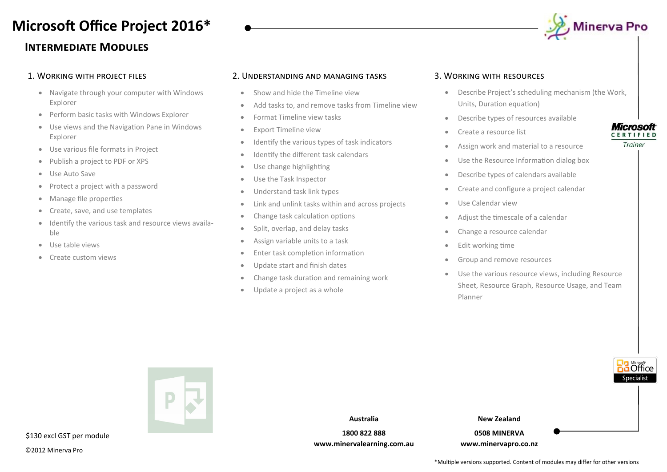# **Microsoft Office Project 2016\***

### **Intermediate Modules**

### 1. Working with project files

- Navigate through your computer with Windows Explorer
- Perform basic tasks with Windows Explorer
- Use views and the Navigation Pane in Windows Explorer
- Use various file formats in Project
- Publish a project to PDF or XPS
- Use Auto Save
- Protect a project with a password
- Manage file properties
- Create, save, and use templates
- $\bullet$  Identify the various task and resource views available
- Use table views
- Create custom views

### 2. Understanding and managing tasks

- Show and hide the Timeline view
- Add tasks to, and remove tasks from Timeline view
- Format Timeline view tasks
- Export Timeline view
- Identify the various types of task indicators
- Identify the different task calendars
- Use change highlighting
- Use the Task Inspector
- Understand task link types
- Link and unlink tasks within and across projects
- Change task calculation options
- Split, overlap, and delay tasks
- Assign variable units to a task
- Enter task completion information
- Update start and finish dates
- Change task duration and remaining work
- Update a project as a whole

### 3. Working with resources

- Describe Project's scheduling mechanism (the Work, Units, Duration equation)
- Describe types of resources available
- Create a resource list
- Assign work and material to a resource
- Use the Resource Information dialog box
- Describe types of calendars available
- Create and configure a project calendar
- Use Calendar view
- Adjust the timescale of a calendar
- Change a resource calendar
- Edit working time
- Group and remove resources
- Use the various resource views, including Resource Sheet, Resource Graph, Resource Usage, and Team Planner

|        |                                                                                    | Specialist |
|--------|------------------------------------------------------------------------------------|------------|
|        | <b>New Zealand</b><br>Australia                                                    |            |
| module | 1800 822 888<br>0508 MINERVA<br>www.minervalearning.com.au<br>www.minervapro.co.nz |            |
|        |                                                                                    |            |

Trainer



 $$130$  excl GST per



, Minerva Pro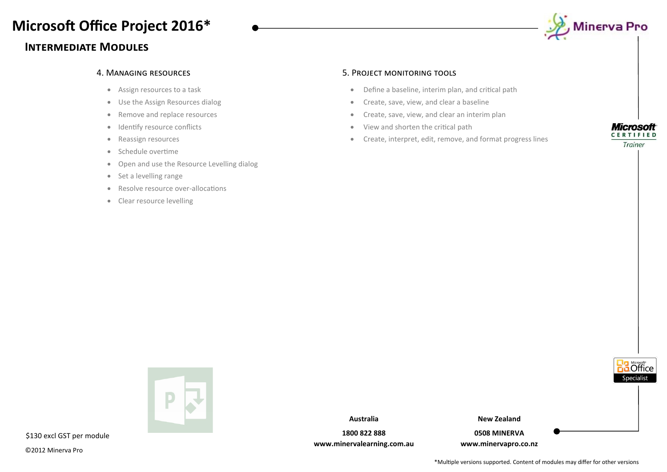## **Microsoft Office Project 2016\***

### **Intermediate Modules**



- Assign resources to a task
- Use the Assign Resources dialog
- Remove and replace resources
- Identify resource conflicts
- Reassign resources
- Schedule overtime
- Open and use the Resource Levelling dialog
- Set a levelling range
- Resolve resource over-allocations
- Clear resource levelling

### 4. Managing resources 5. Project monitoring tools

- Define a baseline, interim plan, and critical path
- **•** Create, save, view, and clear a baseline
- Create, save, view, and clear an interim plan
- View and shorten the critical path
- Create, interpret, edit, remove, and format progress lines



Trainer

Office necialist



\$130 excl GST per module

©2012 Minerva Pro

**Australia**

**1800 822 888 www.minervalearning.com.au** **New Zealand**

**0508 MINERVA www.minervapro.co.nz**

\*Multiple versions supported. Content of modules may differ for other versions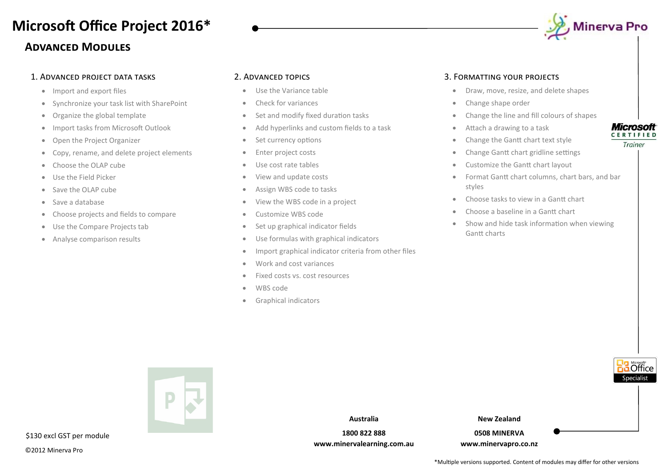## **Advanced Modules Microsoft Office Project 2016\***

### 1. Advanced project data tasks

- Import and export files
- Synchronize your task list with SharePoint
- Organize the global template
- Import tasks from Microsoft Outlook
- Open the Project Organizer
- Copy, rename, and delete project elements
- Choose the OLAP cube
- Use the Field Picker
- Save the OLAP cube
- Save a database
- Choose projects and fields to compare
- Use the Compare Projects tab
- Analyse comparison results

### 2. Advanced topics

- Use the Variance table
- Check for variances
- Set and modify fixed duration tasks
- Add hyperlinks and custom fields to a task
- Set currency options
- Enter project costs
- Use cost rate tables
- View and update costs
- Assign WBS code to tasks
- View the WBS code in a project
- Customize WBS code
- Set up graphical indicator fields
- Use formulas with graphical indicators
- Import graphical indicator criteria from other files
- Work and cost variances
- Fixed costs vs. cost resources
- WBS code
- Graphical indicators

### 3. Formatting your projects

- **•** Draw, move, resize, and delete shapes
- Change shape order
- Change the line and fill colours of shapes
- Attach a drawing to a task
- Change the Gantt chart text style
- Change Gantt chart gridline settings
- Customize the Gantt chart layout
- Format Gantt chart columns, chart bars, and bar styles
- Choose tasks to view in a Gantt chart
- Choose a baseline in a Gantt chart
- Show and hide task information when viewing Gantt charts



**1800 822 888 www.minervalearning.com.au**

**0508 MINERVA www.minervapro.co.nz** **5** Office .necialist

**Microsoft CERTIFIED** Trainer

\$130 excl GST per module

©2012 Minerva Pro

\*Multiple versions supported. Content of modules may differ for other versions